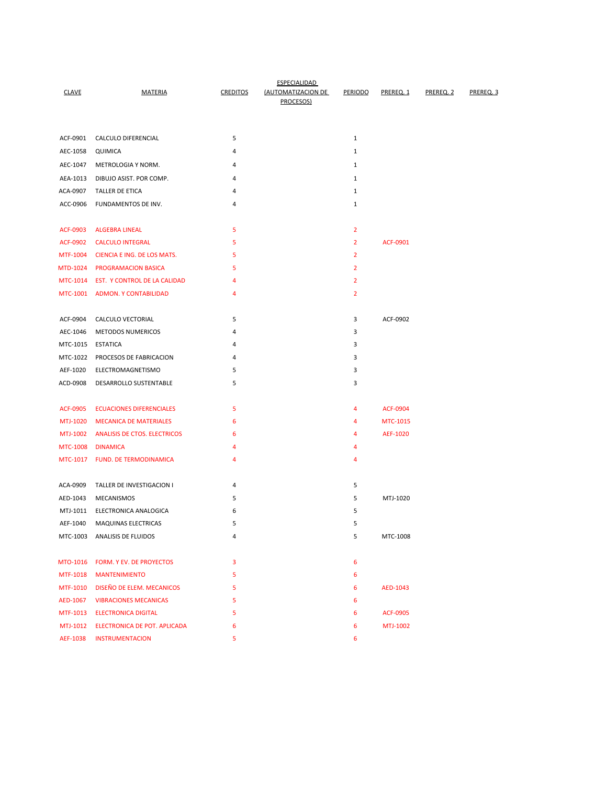| <b>CLAVE</b>         | <b>MATERIA</b>                          | <b>CREDITOS</b> | <b>ESPECIALIDAD</b><br>(AUTOMATIZACION DE<br>PROCESOS) | PERIODO        | PREREO <sub>.1</sub> | PREREO <sub>2</sub> | PREREO <sub>3</sub> |
|----------------------|-----------------------------------------|-----------------|--------------------------------------------------------|----------------|----------------------|---------------------|---------------------|
|                      |                                         |                 |                                                        |                |                      |                     |                     |
| ACF-0901             | CALCULO DIFERENCIAL                     | 5               |                                                        | $\mathbf{1}$   |                      |                     |                     |
| AEC-1058             | QUIMICA                                 | 4               |                                                        | $\mathbf{1}$   |                      |                     |                     |
| AEC-1047             | METROLOGIA Y NORM.                      | 4               |                                                        | 1              |                      |                     |                     |
| AEA-1013             | DIBUJO ASIST. POR COMP.                 | 4               |                                                        | $\mathbf{1}$   |                      |                     |                     |
| ACA-0907             | <b>TALLER DE ETICA</b>                  | 4               |                                                        | 1              |                      |                     |                     |
| ACC-0906             | FUNDAMENTOS DE INV.                     | 4               |                                                        | $\mathbf{1}$   |                      |                     |                     |
|                      |                                         |                 |                                                        |                |                      |                     |                     |
| ACF-0903             | <b>ALGEBRA LINEAL</b>                   | 5               |                                                        | $\overline{2}$ |                      |                     |                     |
| <b>ACF-0902</b>      | <b>CALCULO INTEGRAL</b>                 | 5               |                                                        | $\overline{2}$ | ACF-0901             |                     |                     |
| MTF-1004             | CIENCIA E ING. DE LOS MATS.             | 5               |                                                        | $\overline{2}$ |                      |                     |                     |
| MTD-1024             | <b>PROGRAMACION BASICA</b>              | 5               |                                                        | $\overline{2}$ |                      |                     |                     |
|                      | MTC-1014 EST. Y CONTROL DE LA CALIDAD   | 4               |                                                        | $\overline{2}$ |                      |                     |                     |
|                      | MTC-1001 ADMON. Y CONTABILIDAD          | 4               |                                                        | $\overline{2}$ |                      |                     |                     |
|                      |                                         |                 |                                                        |                |                      |                     |                     |
| ACF-0904             | CALCULO VECTORIAL                       | 5               |                                                        | 3              | ACF-0902             |                     |                     |
| AEC-1046             | <b>METODOS NUMERICOS</b>                | 4               |                                                        | 3              |                      |                     |                     |
| MTC-1015             | <b>ESTATICA</b>                         | 4               |                                                        | 3              |                      |                     |                     |
| MTC-1022             | PROCESOS DE FABRICACION                 | 4               |                                                        | 3              |                      |                     |                     |
| AEF-1020             | ELECTROMAGNETISMO                       | 5               |                                                        | 3              |                      |                     |                     |
| ACD-0908             | DESARROLLO SUSTENTABLE                  | 5               |                                                        | 3              |                      |                     |                     |
|                      |                                         |                 |                                                        |                |                      |                     |                     |
| ACF-0905             | <b>ECUACIONES DIFERENCIALES</b>         | 5               |                                                        | 4              | <b>ACF-0904</b>      |                     |                     |
| MTJ-1020             | <b>MECANICA DE MATERIALES</b>           | 6               |                                                        | 4              | MTC-1015             |                     |                     |
| MTJ-1002             | <b>ANALISIS DE CTOS. ELECTRICOS</b>     | 6               |                                                        | 4              | AEF-1020             |                     |                     |
| MTC-1008             | <b>DINAMICA</b>                         | 4               |                                                        | 4              |                      |                     |                     |
|                      | MTC-1017 FUND. DE TERMODINAMICA         | 4               |                                                        | 4              |                      |                     |                     |
|                      |                                         |                 |                                                        | 5              |                      |                     |                     |
| ACA-0909<br>AED-1043 | TALLER DE INVESTIGACION I<br>MECANISMOS | 4<br>5          |                                                        | 5              | MTJ-1020             |                     |                     |
| MTJ-1011             | ELECTRONICA ANALOGICA                   | 6               |                                                        | 5              |                      |                     |                     |
| AEF-1040             | <b>MAQUINAS ELECTRICAS</b>              | 5               |                                                        | 5              |                      |                     |                     |
|                      | MTC-1003 ANALISIS DE FLUIDOS            | 4               |                                                        | 5              | MTC-1008             |                     |                     |
|                      |                                         |                 |                                                        |                |                      |                     |                     |
|                      | MTO-1016 FORM. Y EV. DE PROYECTOS       | 3               |                                                        | 6              |                      |                     |                     |
|                      | MTF-1018 MANTENIMIENTO                  | 5               |                                                        | 6              |                      |                     |                     |
|                      | MTF-1010 DISEÑO DE ELEM. MECANICOS      | 5               |                                                        | 6              | AED-1043             |                     |                     |
|                      | AED-1067 VIBRACIONES MECANICAS          | 5               |                                                        | 6              |                      |                     |                     |
|                      | MTF-1013 ELECTRONICA DIGITAL            | 5               |                                                        | 6              | <b>ACF-0905</b>      |                     |                     |
|                      | MTJ-1012 ELECTRONICA DE POT. APLICADA   | 6               |                                                        | 6              | MTJ-1002             |                     |                     |
|                      | AEF-1038 INSTRUMENTACION                | 5               |                                                        | 6              |                      |                     |                     |